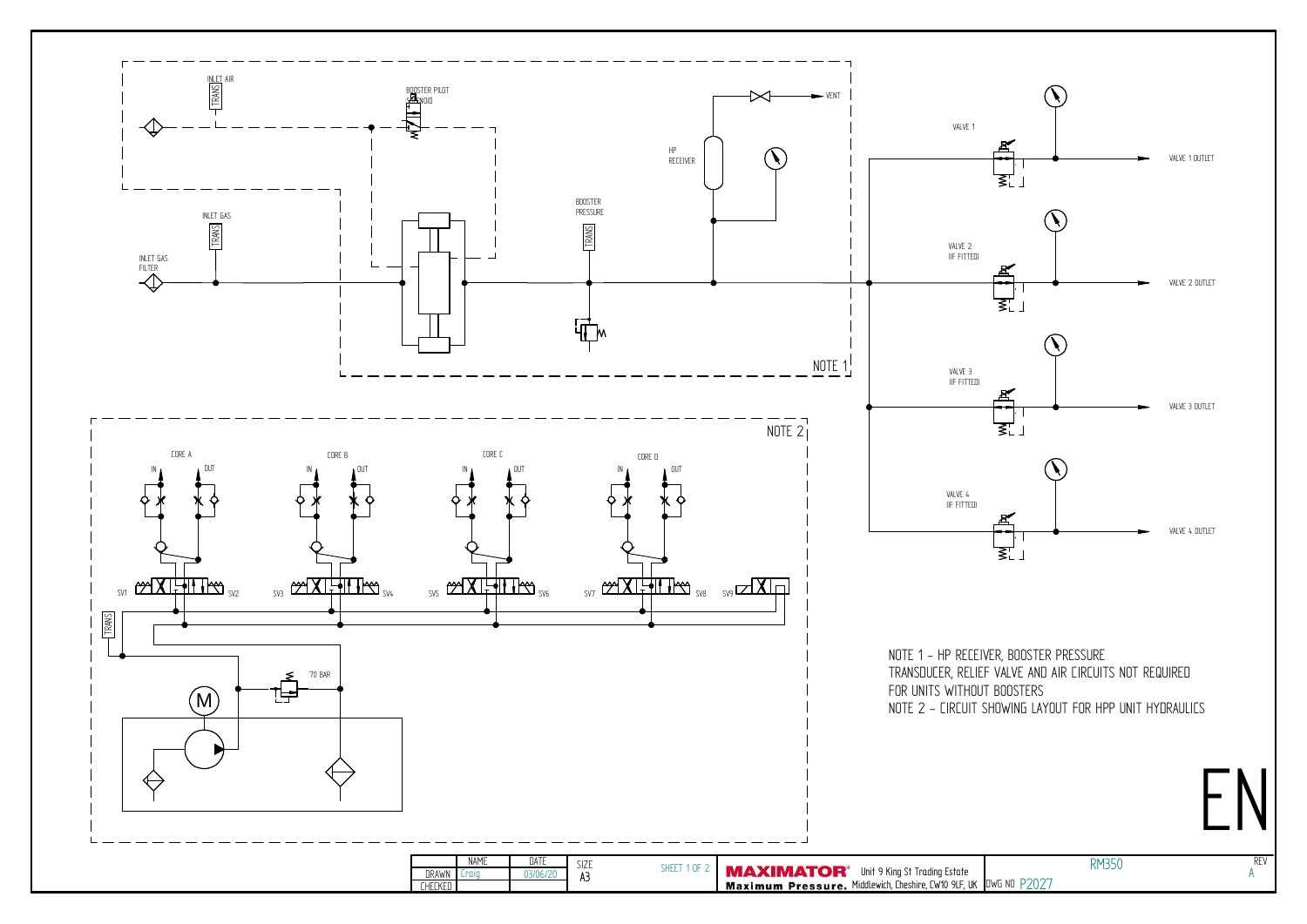